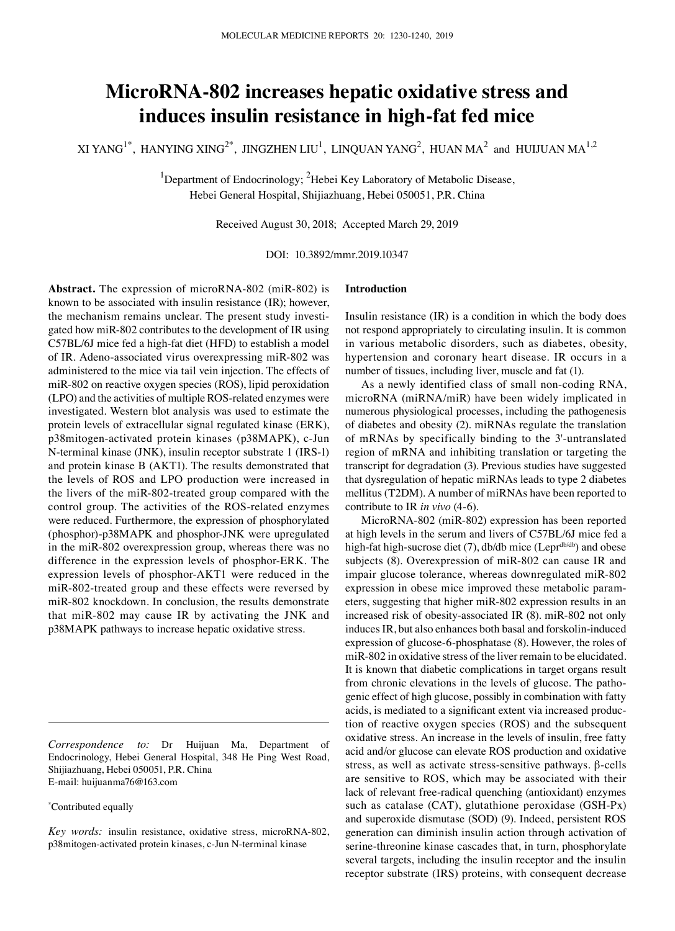# **MicroRNA‑802 increases hepatic oxidative stress and induces insulin resistance in high‑fat fed mice**

XI YANG<sup>1\*</sup>, HANYING XING<sup>2\*</sup>, JINGZHEN LIU<sup>1</sup>, LINQUAN YANG<sup>2</sup>, HUAN MA<sup>2</sup> and HUIJUAN MA<sup>1,2</sup>

<sup>1</sup>Department of Endocrinology; <sup>2</sup>Hebei Key Laboratory of Metabolic Disease, Hebei General Hospital, Shijiazhuang, Hebei 050051, P.R. China

Received August 30, 2018; Accepted March 29, 2019

DOI: 10.3892/mmr.2019.10347

**Abstract.** The expression of microRNA‑802 (miR‑802) is known to be associated with insulin resistance (IR); however, the mechanism remains unclear. The present study investigated how miR‑802 contributes to the development of IR using C57BL/6J mice fed a high-fat diet (HFD) to establish a model of IR. Adeno-associated virus overexpressing miR‑802 was administered to the mice via tail vein injection. The effects of miR‑802 on reactive oxygen species (ROS), lipid peroxidation (LPO) and the activities of multiple ROS-related enzymes were investigated. Western blot analysis was used to estimate the protein levels of extracellular signal regulated kinase (ERK), p38mitogen-activated protein kinases (p38MAPK), c-Jun N‑terminal kinase (JNK), insulin receptor substrate 1 (IRS-1) and protein kinase B (AKT1). The results demonstrated that the levels of ROS and LPO production were increased in the livers of the miR‑802-treated group compared with the control group. The activities of the ROS-related enzymes were reduced. Furthermore, the expression of phosphorylated (phosphor)-p38MAPK and phosphor-JNK were upregulated in the miR‑802 overexpression group, whereas there was no difference in the expression levels of phosphor‑ERK. The expression levels of phosphor‑AKT1 were reduced in the miR‑802-treated group and these effects were reversed by miR‑802 knockdown. In conclusion, the results demonstrate that miR‑802 may cause IR by activating the JNK and p38MAPK pathways to increase hepatic oxidative stress.

#### \* Contributed equally

*Key words:* insulin resistance, oxidative stress, microRNA‑802, p38mitogen-activated protein kinases, c-Jun N‑terminal kinase

## **Introduction**

Insulin resistance (IR) is a condition in which the body does not respond appropriately to circulating insulin. It is common in various metabolic disorders, such as diabetes, obesity, hypertension and coronary heart disease. IR occurs in a number of tissues, including liver, muscle and fat (1).

As a newly identified class of small non-coding RNA, microRNA (miRNA/miR) have been widely implicated in numerous physiological processes, including the pathogenesis of diabetes and obesity (2). miRNAs regulate the translation of mRNAs by specifically binding to the 3'-untranslated region of mRNA and inhibiting translation or targeting the transcript for degradation (3). Previous studies have suggested that dysregulation of hepatic miRNAs leads to type 2 diabetes mellitus (T2DM). A number of miRNAs have been reported to contribute to IR *in vivo* (4-6).

MicroRNA‑802 (miR‑802) expression has been reported at high levels in the serum and livers of C57BL/6J mice fed a high-fat high-sucrose diet (7), db/db mice (Lepr<sup>db/db</sup>) and obese subjects (8). Overexpression of miR-802 can cause IR and impair glucose tolerance, whereas downregulated miR-802 expression in obese mice improved these metabolic parameters, suggesting that higher miR‑802 expression results in an increased risk of obesity-associated IR (8). miR-802 not only induces IR, but also enhances both basal and forskolin-induced expression of glucose-6-phosphatase (8). However, the roles of miR‑802 in oxidative stress of the liver remain to be elucidated. It is known that diabetic complications in target organs result from chronic elevations in the levels of glucose. The pathogenic effect of high glucose, possibly in combination with fatty acids, is mediated to a significant extent via increased production of reactive oxygen species (ROS) and the subsequent oxidative stress. An increase in the levels of insulin, free fatty acid and/or glucose can elevate ROS production and oxidative stress, as well as activate stress-sensitive pathways. β-cells are sensitive to ROS, which may be associated with their lack of relevant free-radical quenching (antioxidant) enzymes such as catalase (CAT), glutathione peroxidase (GSH-Px) and superoxide dismutase (SOD) (9). Indeed, persistent ROS generation can diminish insulin action through activation of serine-threonine kinase cascades that, in turn, phosphorylate several targets, including the insulin receptor and the insulin receptor substrate (IRS) proteins, with consequent decrease

*Correspondence to:* Dr Huijuan Ma, Department of Endocrinology, Hebei General Hospital, 348 He Ping West Road, Shijiazhuang, Hebei 050051, P.R. China E‑mail: huijuanma76@163.com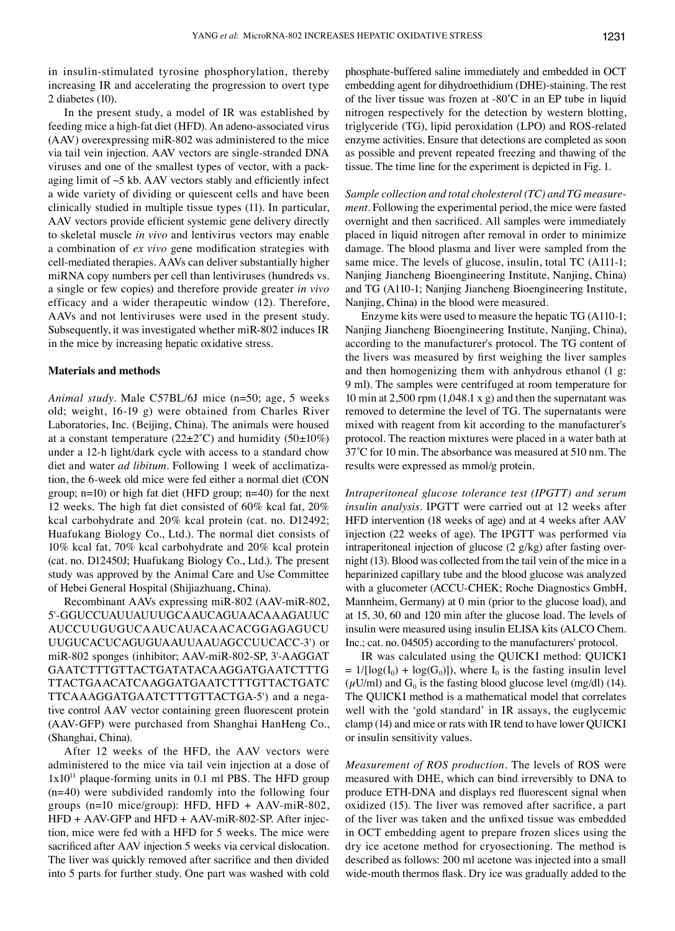in insulin-stimulated tyrosine phosphorylation, thereby increasing IR and accelerating the progression to overt type 2 diabetes (10).

In the present study, a model of IR was established by feeding mice a high-fat diet (HFD). An adeno-associated virus (AAV) overexpressing miR‑802 was administered to the mice via tail vein injection. AAV vectors are single-stranded DNA viruses and one of the smallest types of vector, with a packaging limit of ~5 kb. AAV vectors stably and efficiently infect a wide variety of dividing or quiescent cells and have been clinically studied in multiple tissue types (11). In particular, AAV vectors provide efficient systemic gene delivery directly to skeletal muscle *in vivo* and lentivirus vectors may enable a combination of *ex vivo* gene modification strategies with cell-mediated therapies. AAVs can deliver substantially higher miRNA copy numbers per cell than lentiviruses (hundreds vs. a single or few copies) and therefore provide greater *in vivo* efficacy and a wider therapeutic window (12). Therefore, AAVs and not lentiviruses were used in the present study. Subsequently, it was investigated whether miR‑802 induces IR in the mice by increasing hepatic oxidative stress.

# **Materials and methods**

*Animal study.* Male C57BL/6J mice (n=50; age, 5 weeks old; weight, 16-19 g) were obtained from Charles River Laboratories, Inc. (Beijing, China). The animals were housed at a constant temperature ( $22\pm2^{\circ}$ C) and humidity ( $50\pm10\%$ ) under a 12-h light/dark cycle with access to a standard chow diet and water *ad libitum*. Following 1 week of acclimatization, the 6-week old mice were fed either a normal diet (CON group; n=10) or high fat diet (HFD group; n=40) for the next 12 weeks. The high fat diet consisted of 60% kcal fat, 20% kcal carbohydrate and 20% kcal protein (cat. no. D12492; Huafukang Biology Co., Ltd.). The normal diet consists of 10% kcal fat, 70% kcal carbohydrate and 20% kcal protein (cat. no. D12450J; Huafukang Biology Co., Ltd.). The present study was approved by the Animal Care and Use Committee of Hebei General Hospital (Shijiazhuang, China).

Recombinant AAVs expressing miR‑802 (AAV-miR‑802, 5'-GGUCCUAUUAUUUGCAAUCAGUAACAAAGAUUC AUCCUUGUGUCAAUCAUACAACACGGAGAGUCU UUGUCACUCAGUGUAAUUAAUAGCCUUCACC‑3') or miR‑802 sponges (inhibitor; AAV-miR‑802-SP, 3'‑AAGGAT GAATCTTTGTTACTGATATACAAGGATGAATCTTTG TTACTGAACATCAAGGATGAATCTTTGTTACTGATC TTCAAAGGATGAATCTTTGTTACTGA‑5') and a negative control AAV vector containing green fluorescent protein (AAV-GFP) were purchased from Shanghai HanHeng Co., (Shanghai, China).

After 12 weeks of the HFD, the AAV vectors were administered to the mice via tail vein injection at a dose of  $1x10^{11}$  plaque-forming units in 0.1 ml PBS. The HFD group (n=40) were subdivided randomly into the following four groups  $(n=10 \text{ mice/group})$ : HFD, HFD + AAV-miR-802, HFD + AAV-GFP and HFD + AAV-miR‑802-SP. After injection, mice were fed with a HFD for 5 weeks. The mice were sacrificed after AAV injection 5 weeks via cervical dislocation. The liver was quickly removed after sacrifice and then divided into 5 parts for further study. One part was washed with cold phosphate-buffered saline immediately and embedded in OCT embedding agent for dihydroethidium (DHE)-staining. The rest of the liver tissue was frozen at ‑80˚C in an EP tube in liquid nitrogen respectively for the detection by western blotting, triglyceride (TG), lipid peroxidation (LPO) and ROS-related enzyme activities. Ensure that detections are completed as soon as possible and prevent repeated freezing and thawing of the tissue. The time line for the experiment is depicted in Fig. 1.

*Sample collection and total cholesterol (TC) and TG measure‑ ment*. Following the experimental period, the mice were fasted overnight and then sacrificed. All samples were immediately placed in liquid nitrogen after removal in order to minimize damage. The blood plasma and liver were sampled from the same mice. The levels of glucose, insulin, total TC (A111-1; Nanjing Jiancheng Bioengineering Institute, Nanjing, China) and TG (A110-1; Nanjing Jiancheng Bioengineering Institute, Nanjing, China) in the blood were measured.

Enzyme kits were used to measure the hepatic TG (A110-1; Nanjing Jiancheng Bioengineering Institute, Nanjing, China), according to the manufacturer's protocol. The TG content of the livers was measured by first weighing the liver samples and then homogenizing them with anhydrous ethanol (1 g: 9 ml). The samples were centrifuged at room temperature for 10 min at 2,500 rpm (1,048.1 x g) and then the supernatant was removed to determine the level of TG. The supernatants were mixed with reagent from kit according to the manufacturer's protocol. The reaction mixtures were placed in a water bath at 37˚C for 10 min. The absorbance was measured at 510 nm. The results were expressed as mmol/g protein.

*Intraperitoneal glucose tolerance test (IPGTT) and serum insulin analysis.* IPGTT were carried out at 12 weeks after HFD intervention (18 weeks of age) and at 4 weeks after AAV injection (22 weeks of age). The IPGTT was performed via intraperitoneal injection of glucose (2 g/kg) after fasting overnight (13). Blood was collected from the tail vein of the mice in a heparinized capillary tube and the blood glucose was analyzed with a glucometer (ACCU-CHEK; Roche Diagnostics GmbH, Mannheim, Germany) at 0 min (prior to the glucose load), and at 15, 30, 60 and 120 min after the glucose load. The levels of insulin were measured using insulin ELISA kits (ALCO Chem. Inc.; cat. no. 04505) according to the manufacturers' protocol.

IR was calculated using the QUICKI method: QUICKI  $= 1/[\log(I_0) + \log(G_0)]$ , where  $I_0$  is the fasting insulin level ( $\mu$ U/ml) and G<sub>0</sub> is the fasting blood glucose level (mg/dl) (14). The QUICKI method is a mathematical model that correlates well with the 'gold standard' in IR assays, the euglycemic clamp (14) and mice or rats with IR tend to have lower QUICKI or insulin sensitivity values.

*Measurement of ROS production.* The levels of ROS were measured with DHE, which can bind irreversibly to DNA to produce ETH‑DNA and displays red fluorescent signal when oxidized (15). The liver was removed after sacrifice, a part of the liver was taken and the unfixed tissue was embedded in OCT embedding agent to prepare frozen slices using the dry ice acetone method for cryosectioning. The method is described as follows: 200 ml acetone was injected into a small wide‑mouth thermos flask. Dry ice was gradually added to the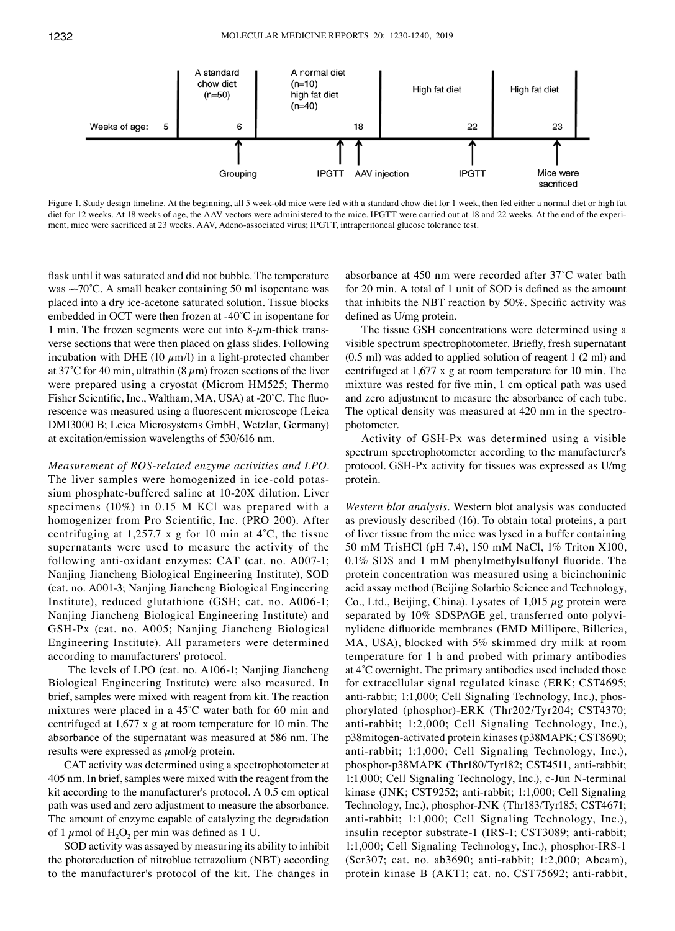

Figure 1. Study design timeline. At the beginning, all 5 week-old mice were fed with a standard chow diet for 1 week, then fed either a normal diet or high fat diet for 12 weeks. At 18 weeks of age, the AAV vectors were administered to the mice. IPGTT were carried out at 18 and 22 weeks. At the end of the experiment, mice were sacrificed at 23 weeks. AAV, Adeno‑associated virus; IPGTT, intraperitoneal glucose tolerance test.

flask until it was saturated and did not bubble. The temperature was ~-70°C. A small beaker containing 50 ml isopentane was placed into a dry ice-acetone saturated solution. Tissue blocks embedded in OCT were then frozen at ‑40˚C in isopentane for 1 min. The frozen segments were cut into  $8-\mu$ m-thick transverse sections that were then placed on glass slides. Following incubation with DHE (10  $\mu$ m/l) in a light-protected chamber at 37°C for 40 min, ultrathin (8  $\mu$ m) frozen sections of the liver were prepared using a cryostat (Microm HM525; Thermo Fisher Scientific, Inc., Waltham, MA, USA) at ‑20˚C. The fluorescence was measured using a fluorescent microscope (Leica DMI3000 B; Leica Microsystems GmbH, Wetzlar, Germany) at excitation/emission wavelengths of 530/616 nm.

*Measurement of ROS‑related enzyme activities and LPO.*  The liver samples were homogenized in ice-cold potassium phosphate-buffered saline at 10-20X dilution. Liver specimens (10%) in 0.15 M KCl was prepared with a homogenizer from Pro Scientific, Inc. (PRO 200). After centrifuging at 1,257.7 x g for 10 min at  $4^{\circ}$ C, the tissue supernatants were used to measure the activity of the following anti-oxidant enzymes: CAT (cat. no. A007-1; Nanjing Jiancheng Biological Engineering Institute), SOD (cat. no. A001-3; Nanjing Jiancheng Biological Engineering Institute), reduced glutathione (GSH; cat. no. A006-1; Nanjing Jiancheng Biological Engineering Institute) and GSH-Px (cat. no. A005; Nanjing Jiancheng Biological Engineering Institute). All parameters were determined according to manufacturers' protocol.

 The levels of LPO (cat. no. A106-1; Nanjing Jiancheng Biological Engineering Institute) were also measured. In brief, samples were mixed with reagent from kit. The reaction mixtures were placed in a 45˚C water bath for 60 min and centrifuged at 1,677 x g at room temperature for 10 min. The absorbance of the supernatant was measured at 586 nm. The results were expressed as  $\mu$ mol/g protein.

CAT activity was determined using a spectrophotometer at 405 nm. In brief, samples were mixed with the reagent from the kit according to the manufacturer's protocol. A 0.5 cm optical path was used and zero adjustment to measure the absorbance. The amount of enzyme capable of catalyzing the degradation of 1  $\mu$ mol of H<sub>2</sub>O<sub>2</sub> per min was defined as 1 U.

SOD activity was assayed by measuring its ability to inhibit the photoreduction of nitroblue tetrazolium (NBT) according to the manufacturer's protocol of the kit. The changes in absorbance at 450 nm were recorded after 37˚C water bath for 20 min. A total of 1 unit of SOD is defined as the amount that inhibits the NBT reaction by 50%. Specific activity was defined as U/mg protein.

The tissue GSH concentrations were determined using a visible spectrum spectrophotometer. Briefly, fresh supernatant (0.5 ml) was added to applied solution of reagent 1 (2 ml) and centrifuged at 1,677 x g at room temperature for 10 min. The mixture was rested for five min, 1 cm optical path was used and zero adjustment to measure the absorbance of each tube. The optical density was measured at 420 nm in the spectrophotometer.

Activity of GSH-Px was determined using a visible spectrum spectrophotometer according to the manufacturer's protocol. GSH-Px activity for tissues was expressed as U/mg protein.

*Western blot analysis.* Western blot analysis was conducted as previously described (16). To obtain total proteins, a part of liver tissue from the mice was lysed in a buffer containing 50 mM TrisHCl (pH 7.4), 150 mM NaCl, 1% Triton X100, 0.1% SDS and 1 mM phenylmethylsulfonyl fluoride. The protein concentration was measured using a bicinchoninic acid assay method (Beijing Solarbio Science and Technology, Co., Ltd., Beijing, China). Lysates of  $1.015 \mu$ g protein were separated by 10% SDSPAGE gel, transferred onto polyvinylidene difluoride membranes (EMD Millipore, Billerica, MA, USA), blocked with 5% skimmed dry milk at room temperature for 1 h and probed with primary antibodies at 4˚C overnight. The primary antibodies used included those for extracellular signal regulated kinase (ERK; CST4695; anti-rabbit; 1:1,000; Cell Signaling Technology, Inc.), phosphorylated (phosphor)‑ERK (Thr202/Tyr204; CST4370; anti-rabbit; 1:2,000; Cell Signaling Technology, Inc.), p38mitogen-activated protein kinases (p38MAPK; CST8690; anti-rabbit; 1:1,000; Cell Signaling Technology, Inc.), phosphor-p38MAPK (Thr180/Tyr182; CST4511, anti-rabbit; 1:1,000; Cell Signaling Technology, Inc.), c-Jun N‑terminal kinase (JNK; CST9252; anti-rabbit; 1:1,000; Cell Signaling Technology, Inc.), phosphor-JNK (Thr183/Tyr185; CST4671; anti-rabbit; 1:1,000; Cell Signaling Technology, Inc.), insulin receptor substrate-1 (IRS-1; CST3089; anti-rabbit; 1:1,000; Cell Signaling Technology, Inc.), phosphor‑IRS-1 (Ser307; cat. no. ab3690; anti-rabbit; 1:2,000; Abcam), protein kinase B (AKT1; cat. no. CST75692; anti-rabbit,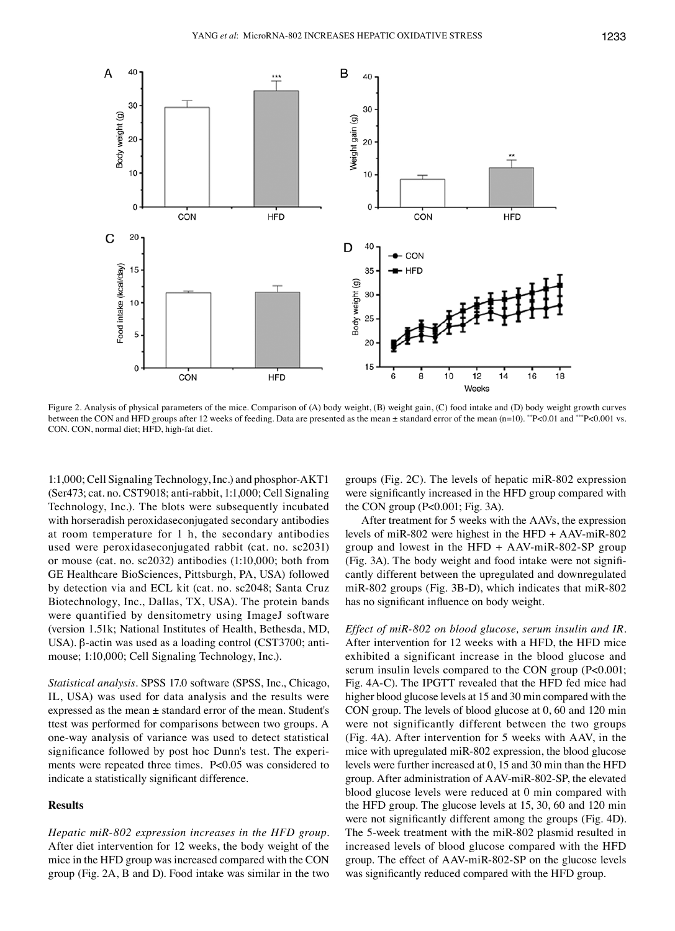

Figure 2. Analysis of physical parameters of the mice. Comparison of (A) body weight, (B) weight gain, (C) food intake and (D) body weight growth curves between the CON and HFD groups after 12 weeks of feeding. Data are presented as the mean  $\pm$  standard error of the mean (n=10). \*\*P<0.01 and \*\*\*P<0.001 vs. CON. CON, normal diet; HFD, high-fat diet.

1:1,000; Cell Signaling Technology, Inc.) and phosphor‑AKT1 (Ser473; cat. no. CST9018; anti-rabbit, 1:1,000; Cell Signaling Technology, Inc.). The blots were subsequently incubated with horseradish peroxidaseconjugated secondary antibodies at room temperature for 1 h, the secondary antibodies used were peroxidaseconjugated rabbit (cat. no. sc2031) or mouse (cat. no. sc2032) antibodies (1:10,000; both from GE Healthcare BioSciences, Pittsburgh, PA, USA) followed by detection via and ECL kit (cat. no. sc2048; Santa Cruz Biotechnology, Inc., Dallas, TX, USA). The protein bands were quantified by densitometry using ImageJ software (version 1.51k; National Institutes of Health, Bethesda, MD, USA). β-actin was used as a loading control (CST3700; antimouse; 1:10,000; Cell Signaling Technology, Inc.).

*Statistical analysis.* SPSS 17.0 software (SPSS, Inc., Chicago, IL, USA) was used for data analysis and the results were expressed as the mean ± standard error of the mean. Student's ttest was performed for comparisons between two groups. A one-way analysis of variance was used to detect statistical significance followed by post hoc Dunn's test. The experiments were repeated three times. P<0.05 was considered to indicate a statistically significant difference.

#### **Results**

*Hepatic miR‑802 expression increases in the HFD group.*  After diet intervention for 12 weeks, the body weight of the mice in the HFD group was increased compared with the CON group (Fig. 2A, B and D). Food intake was similar in the two groups (Fig. 2C). The levels of hepatic miR‑802 expression were significantly increased in the HFD group compared with the CON group (P<0.001; Fig. 3A).

After treatment for 5 weeks with the AAVs, the expression levels of miR‑802 were highest in the HFD + AAV-miR‑802 group and lowest in the HFD +  $AAV$ -miR-802-SP group (Fig. 3A). The body weight and food intake were not significantly different between the upregulated and downregulated miR-802 groups (Fig. 3B-D), which indicates that miR-802 has no significant influence on body weight.

*Effect of miR‑802 on blood glucose, serum insulin and IR.*  After intervention for 12 weeks with a HFD, the HFD mice exhibited a significant increase in the blood glucose and serum insulin levels compared to the CON group (P<0.001; Fig. 4A‑C). The IPGTT revealed that the HFD fed mice had higher blood glucose levels at 15 and 30 min compared with the CON group. The levels of blood glucose at 0, 60 and 120 min were not significantly different between the two groups (Fig. 4A). After intervention for 5 weeks with AAV, in the mice with upregulated miR‑802 expression, the blood glucose levels were further increased at 0, 15 and 30 min than the HFD group. After administration of AAV-miR‑802-SP, the elevated blood glucose levels were reduced at 0 min compared with the HFD group. The glucose levels at 15, 30, 60 and 120 min were not significantly different among the groups (Fig. 4D). The 5-week treatment with the miR‑802 plasmid resulted in increased levels of blood glucose compared with the HFD group. The effect of AAV-miR‑802-SP on the glucose levels was significantly reduced compared with the HFD group.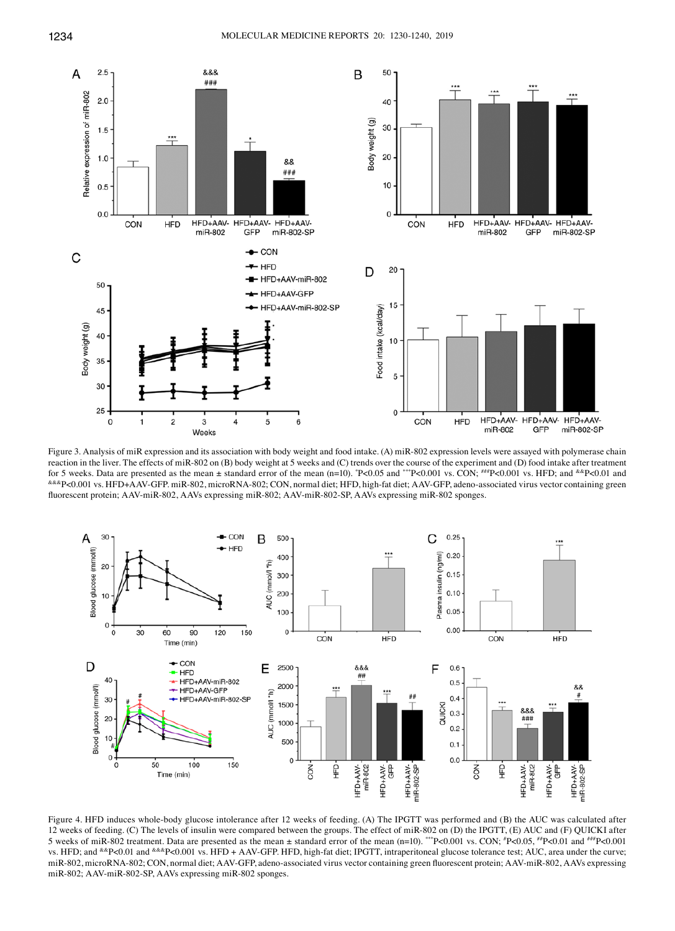

Figure 3. Analysis of miR expression and its association with body weight and food intake. (A) miR‑802 expression levels were assayed with polymerase chain reaction in the liver. The effects of miR-802 on (B) body weight at 5 weeks and (C) trends over the course of the experiment and (D) food intake after treatment for 5 weeks. Data are presented as the mean  $\pm$  standard error of the mean (n=10).  $P<0.05$  and  $\left(10\right)$  and  $\left(10\right)$  and  $\left(10\right)$  and  $\left(10\right)$  and  $\left(10\right)$  and  $\left(10\right)$  and  $\left(10\right)$  and  $\left(10\right)$  and  $\left($ P<0.05 and \*\*\*P<0.001 vs. CON; ###P<0.001 vs. HFD; and &&P<0.01 and &&&P<0.001 vs. HFD+AAV-GFP. miR‑802, microRNA‑802; CON, normal diet; HFD, high-fat diet; AAV-GFP, adeno-associated virus vector containing green fluorescent protein; AAV-miR-802, AAVs expressing miR-802; AAV-miR-802-SP, AAVs expressing miR-802 sponges.



Figure 4. HFD induces whole-body glucose intolerance after 12 weeks of feeding. (A) The IPGTT was performed and (B) the AUC was calculated after 12 weeks of feeding. (C) The levels of insulin were compared between the groups. The effect of miR‑802 on (D) the IPGTT, (E) AUC and (F) QUICKI after 5 weeks of miR-802 treatment. Data are presented as the mean  $\pm$  standard error of the mean (n=10). \*\*\*P<0.001 vs. CON;  ${}^{\#}P<0.05$ ,  ${}^{\#}P<0.01$  and  ${}^{\#}{}^{\#}P<0.001$ vs. HFD; and &&P<0.01 and &&&P<0.001 vs. HFD + AAV-GFP. HFD, high-fat diet; IPGTT, intraperitoneal glucose tolerance test; AUC, area under the curve; miR‐802, microRNA‐802; CON, normal diet; AAV‐GFP, adeno‐associated virus vector containing green fluorescent protein; AAV‐miR‐802, AAVs expressing miR‑802; AAV-miR‑802-SP, AAVs expressing miR‑802 sponges.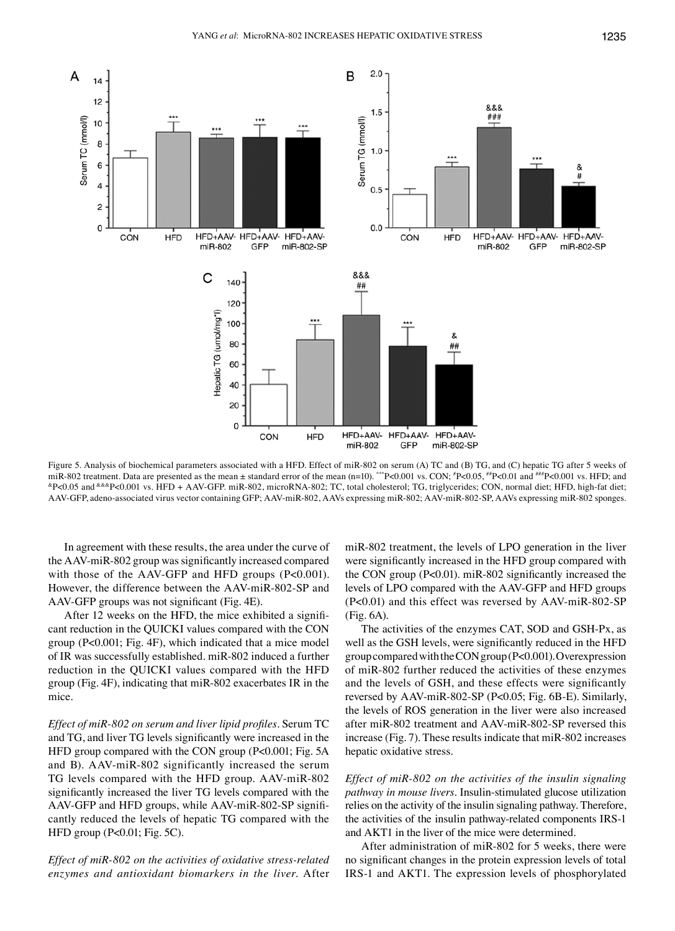

Figure 5. Analysis of biochemical parameters associated with a HFD. Effect of miR-802 on serum (A) TC and (B) TG, and (C) hepatic TG after 5 weeks of miR-802 treatment. Data are presented as the mean  $\pm$  standard error of the mean (n=10). \*\*\*P<0.001 vs. CON; \*P<0.05, \*P<0.05, \*P<0.001 vs. HFD; and P<0.05, ##P<0.01 and ###P<0.001 vs. HFD; and &P<0.05 and &&&P<0.001 vs. HFD + AAV-GFP. miR‑802, microRNA‑802; TC, total cholesterol; TG, triglycerides; CON, normal diet; HFD, high-fat diet; AAV-GFP, adeno-associated virus vector containing GFP; AAV-miR‑802, AAVs expressing miR‑802; AAV-miR‑802-SP, AAVs expressing miR‑802 sponges.

In agreement with these results, the area under the curve of the AAV‑miR‑802 group was significantly increased compared with those of the AAV-GFP and HFD groups (P<0.001). However, the difference between the AAV-miR‑802-SP and AAV‑GFP groups was not significant (Fig. 4E).

After 12 weeks on the HFD, the mice exhibited a significant reduction in the QUICKI values compared with the CON group (P<0.001; Fig. 4F), which indicated that a mice model of IR was successfully established. miR‑802 induced a further reduction in the QUICKI values compared with the HFD group (Fig. 4F), indicating that miR‑802 exacerbates IR in the mice.

*Effect of miR‑802 on serum and liver lipid profiles.* Serum TC and TG, and liver TG levels significantly were increased in the HFD group compared with the CON group (P<0.001; Fig. 5A and B). AAV-miR‑802 significantly increased the serum TG levels compared with the HFD group. AAV-miR‑802 significantly increased the liver TG levels compared with the AAV‑GFP and HFD groups, while AAV‑miR‑802‑SP significantly reduced the levels of hepatic TG compared with the HFD group (P<0.01; Fig. 5C).

*Effect of miR‑802 on the activities of oxidative stress‑related enzymes and antioxidant biomarkers in the liver.* After miR‑802 treatment, the levels of LPO generation in the liver were significantly increased in the HFD group compared with the CON group (P<0.01). miR-802 significantly increased the levels of LPO compared with the AAV-GFP and HFD groups (P<0.01) and this effect was reversed by AAV-miR‑802-SP (Fig. 6A).

The activities of the enzymes CAT, SOD and GSH-Px, as well as the GSH levels, were significantly reduced in the HFD group compared with the CON group (P<0.001). Overexpression of miR‑802 further reduced the activities of these enzymes and the levels of GSH, and these effects were significantly reversed by AAV-miR‑802-SP (P<0.05; Fig. 6B‑E). Similarly, the levels of ROS generation in the liver were also increased after miR‑802 treatment and AAV-miR‑802-SP reversed this increase (Fig. 7). These results indicate that miR‑802 increases hepatic oxidative stress.

*Effect of miR‑802 on the activities of the insulin signaling pathway in mouse livers.* Insulin-stimulated glucose utilization relies on the activity of the insulin signaling pathway. Therefore, the activities of the insulin pathway-related components IRS-1 and AKT1 in the liver of the mice were determined.

After administration of miR-802 for 5 weeks, there were no significant changes in the protein expression levels of total IRS-1 and AKT1. The expression levels of phosphorylated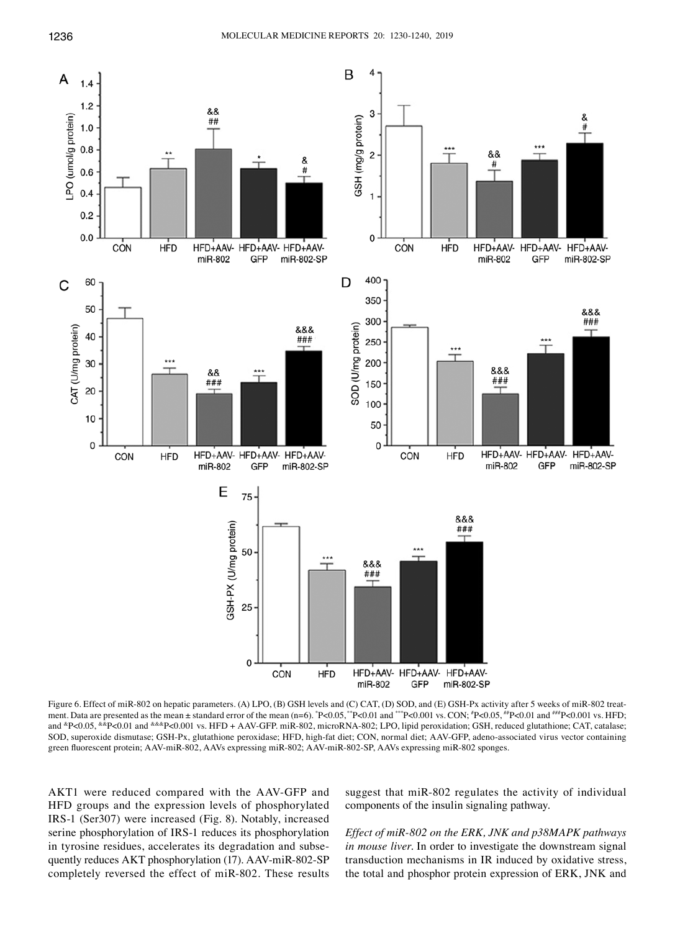

Figure 6. Effect of miR‑802 on hepatic parameters. (A) LPO, (B) GSH levels and (C) CAT, (D) SOD, and (E) GSH-Px activity after 5 weeks of miR‑802 treatment. Data are presented as the mean ± standard error of the mean (n=6). \*P<0.05,\*\*P<0.01 and \*\*\*P<0.001 vs. CON; \*P<0.05, \*\*P<0.01 and \*\*\*P<0.001 vs. HFD; and &P<0.05, &&P<0.01 and &&&P<0.001 vs. HFD + AAV-GFP. miR-802, microRNA-802; LPO, lipid peroxidation; GSH, reduced glutathione; CAT, catalase; SOD, superoxide dismutase; GSH-Px, glutathione peroxidase; HFD, high-fat diet; CON, normal diet; AAV-GFP, adeno-associated virus vector containing green fluorescent protein; AAV-miR-802, AAVs expressing miR-802; AAV-miR-802-SP, AAVs expressing miR-802 sponges.

AKT1 were reduced compared with the AAV-GFP and HFD groups and the expression levels of phosphorylated IRS-1 (Ser307) were increased (Fig. 8). Notably, increased serine phosphorylation of IRS-1 reduces its phosphorylation in tyrosine residues, accelerates its degradation and subsequently reduces AKT phosphorylation (17). AAV-miR-802-SP completely reversed the effect of miR‑802. These results suggest that miR‑802 regulates the activity of individual components of the insulin signaling pathway.

*Effect of miR‑802 on the ERK, JNK and p38MAPK pathways in mouse liver.* In order to investigate the downstream signal transduction mechanisms in IR induced by oxidative stress, the total and phosphor protein expression of ERK, JNK and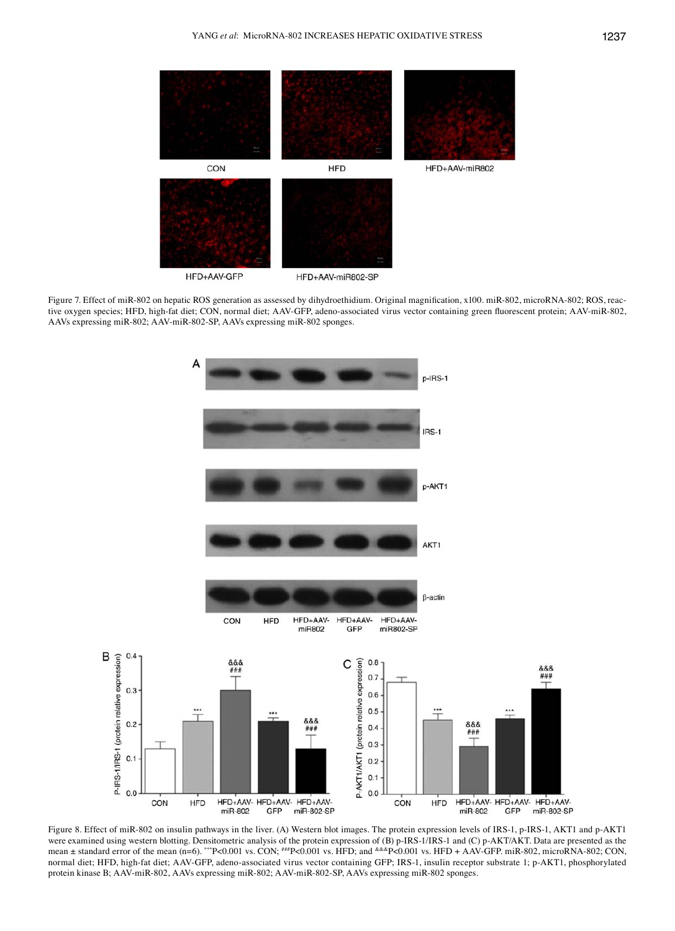

Figure 7. Effect of miR-802 on hepatic ROS generation as assessed by dihydroethidium. Original magnification, x100. miR-802, microRNA-802; ROS, reactive oxygen species; HFD, high-fat diet; CON, normal diet; AAV-GFP, adeno-associated virus vector containing green fluorescent protein; AAV-miR-802, AAVs expressing miR‑802; AAV-miR‑802-SP, AAVs expressing miR‑802 sponges.



Figure 8. Effect of miR-802 on insulin pathways in the liver. (A) Western blot images. The protein expression levels of IRS-1, p-IRS-1, AKT1 and p-AKT1 were examined using western blotting. Densitometric analysis of the protein expression of (B) p-IRS-1/IRS-1 and (C) p-AKT/AKT. Data are presented as the mean ± standard error of the mean (n=6). \*\*\*P<0.001 vs. CON; ##P<0.001 vs. HFD; and \*\*\*P<0.001 vs. HFD + AAV-GFP. miR-802, microRNA-802; CON, normal diet; HFD, high-fat diet; AAV-GFP, adeno-associated virus vector containing GFP; IRS-1, insulin receptor substrate 1; p‑AKT1, phosphorylated protein kinase B; AAV-miR‑802, AAVs expressing miR‑802; AAV-miR‑802-SP, AAVs expressing miR‑802 sponges.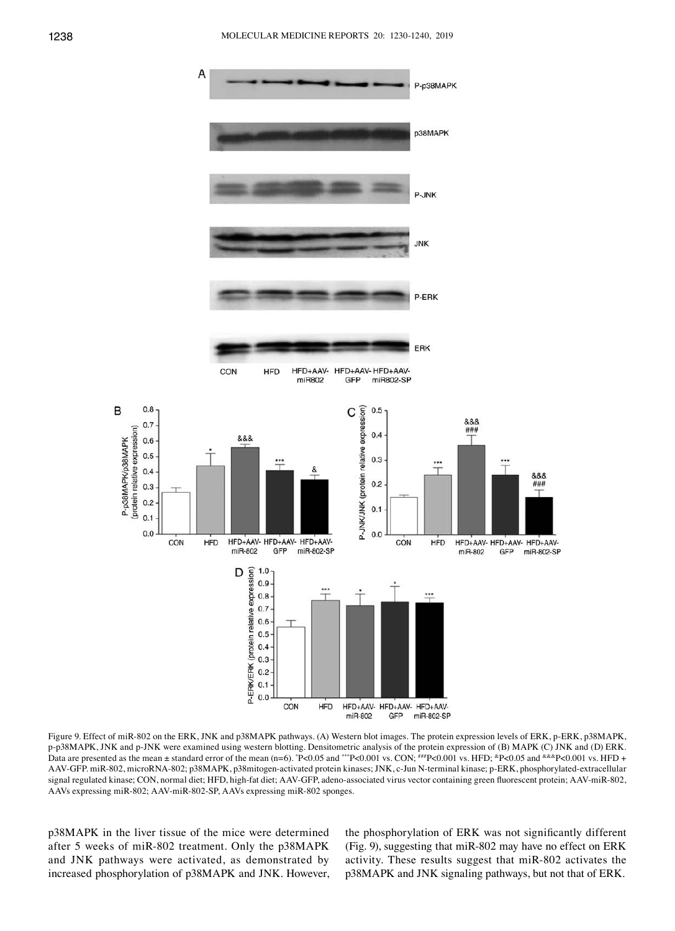

Figure 9. Effect of miR-802 on the ERK, JNK and p38MAPK pathways. (A) Western blot images. The protein expression levels of ERK, p-ERK, p38MAPK, p-p38MAPK, JNK and p-JNK were examined using western blotting. Densitometric analysis of the protein expression of (B) MAPK (C) JNK and (D) ERK. Data are presented as the mean ± standard error of the mean (n=6). \*P<0.05 and \*\*\*P<0.001 vs. CON; \*\*\*P<0.001 vs. HFD; \*P<0.05 and \*\*\*P<0.001 vs. HFD + AAV-GFP. miR-802, microRNA-802; p38MAPK, p38mitogen-activated protein kinases; JNK, c-Jun N-terminal kinase; p-ERK, phosphorylated-extracellular signal regulated kinase; CON, normal diet; HFD, high-fat diet; AAV-GFP, adeno-associated virus vector containing green fluorescent protein; AAV-miR-802, AAVs expressing miR‑802; AAV-miR‑802-SP, AAVs expressing miR‑802 sponges.

p38MAPK in the liver tissue of the mice were determined after 5 weeks of miR‑802 treatment. Only the p38MAPK and JNK pathways were activated, as demonstrated by increased phosphorylation of p38MAPK and JNK. However,

the phosphorylation of ERK was not significantly different (Fig. 9), suggesting that miR‑802 may have no effect on ERK activity. These results suggest that miR‑802 activates the p38MAPK and JNK signaling pathways, but not that of ERK.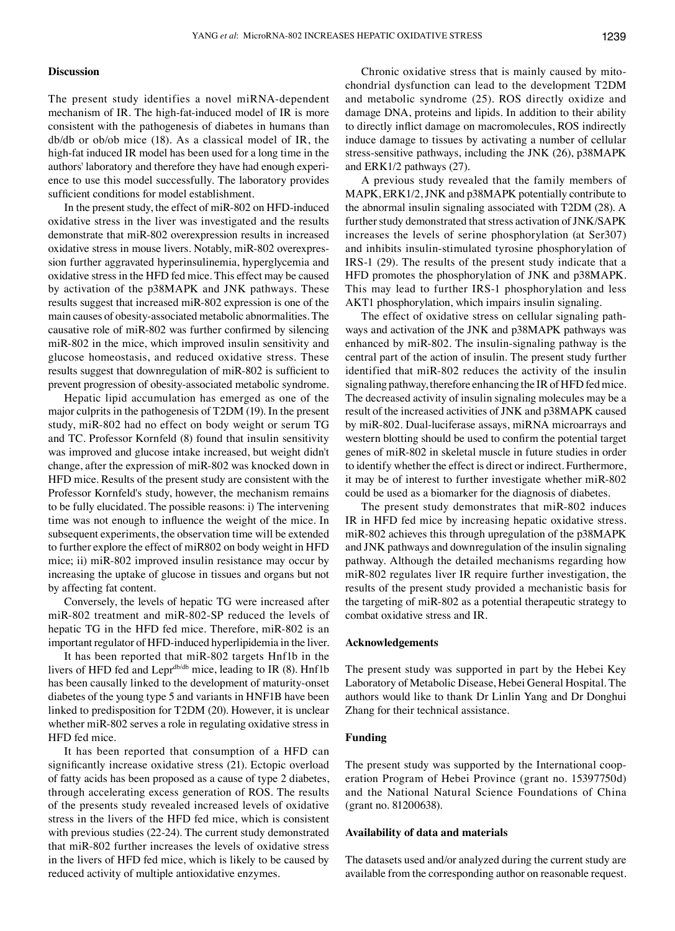#### **Discussion**

The present study identifies a novel miRNA‑dependent mechanism of IR. The high-fat-induced model of IR is more consistent with the pathogenesis of diabetes in humans than db/db or ob/ob mice (18). As a classical model of IR, the high-fat induced IR model has been used for a long time in the authors' laboratory and therefore they have had enough experience to use this model successfully. The laboratory provides sufficient conditions for model establishment.

In the present study, the effect of miR‑802 on HFD‑induced oxidative stress in the liver was investigated and the results demonstrate that miR‑802 overexpression results in increased oxidative stress in mouse livers. Notably, miR‑802 overexpression further aggravated hyperinsulinemia, hyperglycemia and oxidative stress in the HFD fed mice. This effect may be caused by activation of the p38MAPK and JNK pathways. These results suggest that increased miR‑802 expression is one of the main causes of obesity-associated metabolic abnormalities. The causative role of miR‑802 was further confirmed by silencing miR‑802 in the mice, which improved insulin sensitivity and glucose homeostasis, and reduced oxidative stress. These results suggest that downregulation of miR‑802 is sufficient to prevent progression of obesity-associated metabolic syndrome.

Hepatic lipid accumulation has emerged as one of the major culprits in the pathogenesis of T2DM (19). In the present study, miR‑802 had no effect on body weight or serum TG and TC. Professor Kornfeld (8) found that insulin sensitivity was improved and glucose intake increased, but weight didn't change, after the expression of miR‑802 was knocked down in HFD mice. Results of the present study are consistent with the Professor Kornfeld's study, however, the mechanism remains to be fully elucidated. The possible reasons: i) The intervening time was not enough to influence the weight of the mice. In subsequent experiments, the observation time will be extended to further explore the effect of miR802 on body weight in HFD mice; ii) miR‑802 improved insulin resistance may occur by increasing the uptake of glucose in tissues and organs but not by affecting fat content.

Conversely, the levels of hepatic TG were increased after miR‑802 treatment and miR‑802-SP reduced the levels of hepatic TG in the HFD fed mice. Therefore, miR-802 is an important regulator of HFD‑induced hyperlipidemia in the liver.

It has been reported that miR‑802 targets Hnf1b in the livers of HFD fed and Leprdb/db mice, leading to IR (8). Hnf1b has been causally linked to the development of maturity-onset diabetes of the young type 5 and variants in HNF1B have been linked to predisposition for T2DM (20). However, it is unclear whether miR-802 serves a role in regulating oxidative stress in HFD fed mice.

It has been reported that consumption of a HFD can significantly increase oxidative stress (21). Ectopic overload of fatty acids has been proposed as a cause of type 2 diabetes, through accelerating excess generation of ROS. The results of the presents study revealed increased levels of oxidative stress in the livers of the HFD fed mice, which is consistent with previous studies (22-24). The current study demonstrated that miR‑802 further increases the levels of oxidative stress in the livers of HFD fed mice, which is likely to be caused by reduced activity of multiple antioxidative enzymes.

Chronic oxidative stress that is mainly caused by mitochondrial dysfunction can lead to the development T2DM and metabolic syndrome (25). ROS directly oxidize and damage DNA, proteins and lipids. In addition to their ability to directly inflict damage on macromolecules, ROS indirectly induce damage to tissues by activating a number of cellular stress-sensitive pathways, including the JNK (26), p38MAPK and ERK1/2 pathways (27).

A previous study revealed that the family members of MAPK, ERK1/2, JNK and p38MAPK potentially contribute to the abnormal insulin signaling associated with T2DM (28). A further study demonstrated that stress activation of JNK/SAPK increases the levels of serine phosphorylation (at Ser307) and inhibits insulin-stimulated tyrosine phosphorylation of IRS-1 (29). The results of the present study indicate that a HFD promotes the phosphorylation of JNK and p38MAPK. This may lead to further IRS-1 phosphorylation and less AKT1 phosphorylation, which impairs insulin signaling.

The effect of oxidative stress on cellular signaling pathways and activation of the JNK and p38MAPK pathways was enhanced by miR-802. The insulin-signaling pathway is the central part of the action of insulin. The present study further identified that miR‑802 reduces the activity of the insulin signaling pathway, therefore enhancing the IR of HFD fed mice. The decreased activity of insulin signaling molecules may be a result of the increased activities of JNK and p38MAPK caused by miR‑802. Dual-luciferase assays, miRNA microarrays and western blotting should be used to confirm the potential target genes of miR‑802 in skeletal muscle in future studies in order to identify whether the effect is direct or indirect. Furthermore, it may be of interest to further investigate whether miR‑802 could be used as a biomarker for the diagnosis of diabetes.

The present study demonstrates that miR-802 induces IR in HFD fed mice by increasing hepatic oxidative stress. miR‑802 achieves this through upregulation of the p38MAPK and JNK pathways and downregulation of the insulin signaling pathway. Although the detailed mechanisms regarding how miR‑802 regulates liver IR require further investigation, the results of the present study provided a mechanistic basis for the targeting of miR‑802 as a potential therapeutic strategy to combat oxidative stress and IR.

## **Acknowledgements**

The present study was supported in part by the Hebei Key Laboratory of Metabolic Disease, Hebei General Hospital. The authors would like to thank Dr Linlin Yang and Dr Donghui Zhang for their technical assistance.

# **Funding**

The present study was supported by the International cooperation Program of Hebei Province (grant no. 15397750d) and the National Natural Science Foundations of China (grant no. 81200638).

#### **Availability of data and materials**

The datasets used and/or analyzed during the current study are available from the corresponding author on reasonable request.